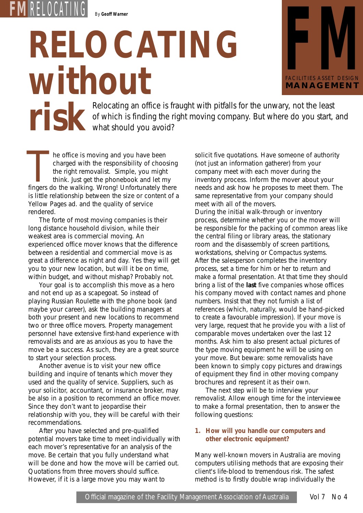**FM** RELOCATING *By Geoff Warner*

# *RELOCATING* **WITHOUT**<br>Relocating an office is fraught with pitfalls for the unwary, not the least



**risk** Relocating an office is fraught with pitfalls for the unwary, not the least of which is finding the right moving company. But where do you start, a what should you avoid? of which is finding the right moving company. But where do you start, and what should you avoid?

he office is moving and you have been charged with the responsibility of choosing the right removalist. Simple, you might think. Just get the phonebook and let my The office is moving and you have been<br>charged with the responsibility of choosing<br>the right removalist. Simple, you might<br>think. Just get the phonebook and let my<br>fingers do the walking. Wrong! Unfortunately there is little relationship between the size or content of a Yellow Pages ad. and the quality of service rendered.

The forte of most moving companies is their long distance household division, while their weakest area is commercial moving. An experienced office mover knows that the difference between a residential and commercial move is as great a difference as night and day. Yes they will get you to your new location, but will it be on time, within budget, and without mishap? Probably not.

Your goal is to accomplish this move as a hero and not end up as a scapegoat. So instead of playing Russian Roulette with the phone book (and maybe your career), ask the building managers at both your present and new locations to recommend two or three office movers. Property management personnel have extensive first-hand experience with removalists and are as anxious as you to have the move be a success. As such, they are a great source to start your selection process.

Another avenue is to visit your new office building and inquire of tenants which mover they used and the quality of service. Suppliers, such as your solicitor, accountant, or insurance broker, may be also in a position to recommend an office mover. Since they don't want to jeopardise their relationship with you, they will be careful with their recommendations.

After you have selected and pre-qualified potential movers take time to meet individually with each mover's representative for an analysis of the move. Be certain that you fully understand what will be done and how the move will be carried out. Quotations from three movers should suffice. However, if it is a large move you may want to

solicit five quotations. Have someone of authority (not just an information gatherer) from your company meet with each mover during the inventory process. Inform the mover about your needs and ask how he proposes to meet them. The same representative from your company should meet with all of the movers.

During the initial walk-through or inventory process, determine whether you or the mover will be responsible for the packing of common areas like the central filing or library areas, the stationary room and the disassembly of screen partitions, workstations, shelving or Compactus systems. After the salesperson completes the inventory process, set a time for him or her to return and make a formal presentation. At that time they should bring a list of the *last* five companies whose offices his company moved with contact names and phone numbers. Insist that they not furnish a list of references (which, naturally, would be hand-picked to create a favourable impression). If your move is very large, request that he provide you with a list of comparable moves undertaken over the last 12 months. Ask him to also present actual pictures of the type moving equipment he will be using on your move. But beware: some removalists have been known to simply copy pictures and drawings of equipment they find in other moving company brochures and represent it as their own.

The next step will be to interview your removalist. Allow enough time for the interviewee to make a formal presentation, then to answer the following questions:

# **1. How will you handle our computers and other electronic equipment?**

Many well-known movers in Australia are moving computers utilising methods that are exposing their client's life-blood to tremendous risk. The safest method is to firstly double wrap individually the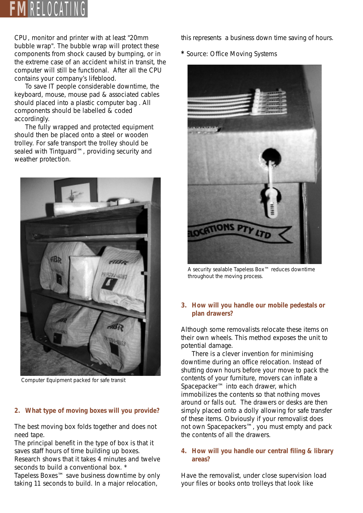

CPU, monitor and printer with at least "20mm bubble wrap". The bubble wrap will protect these components from shock caused by bumping, or in the extreme case of an accident whilst in transit, the computer will still be functional. After all the CPU contains your company's lifeblood.

To save IT people considerable downtime, the keyboard, mouse, mouse pad & associated cables should placed into a plastic computer bag . All components should be labelled & coded accordingly.

The fully wrapped and protected equipment should then be placed onto a steel or wooden trolley. For safe transport the trolley should be sealed with Tintguard™, providing security and weather protection.



*Computer Equipment packed for safe transit*

#### **2. What type of moving boxes will you provide?**

The best moving box folds together and does not need tape.

The principal benefit in the type of box is that it saves staff hours of time building up boxes.

Research shows that it takes 4 minutes and twelve seconds to build a conventional box.<sup>\*</sup>

Tapeless Boxes™ save business downtime by only taking 11 seconds to build. In a major relocation,

this represents a business down time saving of hours.

**\*** Source: Office Moving Systems



*A security sealable Tapeless Box™ reduces downtime throughout the moving process.*

#### **3. How will you handle our mobile pedestals or plan drawers?**

Although some removalists relocate these items on their own wheels. This method exposes the unit to potential damage.

There is a clever invention for minimising downtime during an office relocation. Instead of shutting down hours before your move to pack the contents of your furniture, movers can inflate a Spacepacker™ into each drawer, which immobilizes the contents so that nothing moves around or falls out. The drawers or desks are then simply placed onto a dolly allowing for safe transfer of these items. *Obviously if your removalist does not own Spacepackers™, you must empty and pack the contents of all the drawers.*

#### **4. How will you handle our central filing & library areas?**

Have the removalist, *under close supervision* load your files or books onto trolleys that look like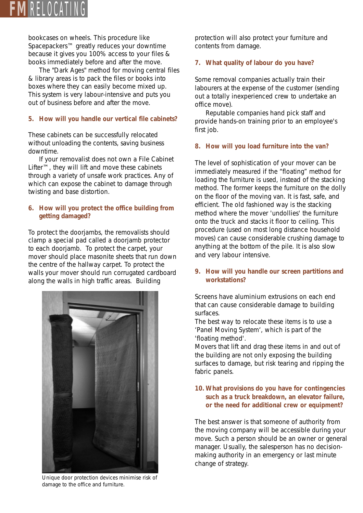

bookcases on wheels. This procedure like Spacepackers™ greatly reduces your downtime because it gives you 100% access to your files & books immediately before and after the move.

The "Dark Ages" method for moving central files & library areas is to pack the files or books into boxes where they can easily become mixed up. This system is very labour-intensive and puts you out of business before and after the move.

#### **5. How will you handle our vertical file cabinets?**

These cabinets can be successfully relocated without unloading the contents, saving business downtime.

If your removalist does not own a File Cabinet Lifter™, they will lift and move these cabinets through a variety of unsafe work practices. Any of which can expose the cabinet to damage through twisting and base distortion.

## **6. How will you protect the office building from getting damaged?**

To protect the doorjambs, the removalists should clamp a special pad called a doorjamb protector to each doorjamb. To protect the carpet, your mover should place masonite sheets that run down the centre of the hallway carpet. To protect the walls your mover should run corrugated cardboard along the walls in high traffic areas. *Building* 



*Unique door protection devices minimise risk of damage to the office and furniture.*

*protection will also protect your furniture and contents from damage.*

# **7. What quality of labour do you have?**

Some removal companies actually train their labourers at the expense of the customer (sending out a totally inexperienced crew to undertake an office move).

Reputable companies hand pick staff and provide hands-on training prior to an employee's first job.

## **8. How will you load furniture into the van?**

The level of sophistication of your mover can be immediately measured if the "floating" method for loading the furniture is used, instead of the stacking method. The former keeps the furniture on the dolly on the floor of the moving van. It is fast, safe, and efficient. The old fashioned way is the stacking method where the mover 'undollies' the furniture onto the truck and stacks it floor to ceiling. This procedure (used on most long distance household moves) can cause considerable crushing damage to anything at the bottom of the pile. It is also slow and very labour intensive.

## **9. How will you handle our screen partitions and workstations?**

Screens have aluminium extrusions on each end that can cause considerable damage to building surfaces.

The best way to relocate these items is to use a 'Panel Moving System', which is part of the 'floating method'.

Movers that lift and drag these items in and out of the building are not only exposing the building surfaces to damage, but risk tearing and ripping the fabric panels.

# **10. What provisions do you have for contingencies such as a truck breakdown, an elevator failure, or the need for additional crew or equipment?**

The best answer is that someone of authority from the moving company will be accessible during your move. Such a person should be an owner or general manager. Usually, the salesperson has no decisionmaking authority in an emergency or last minute change of strategy.